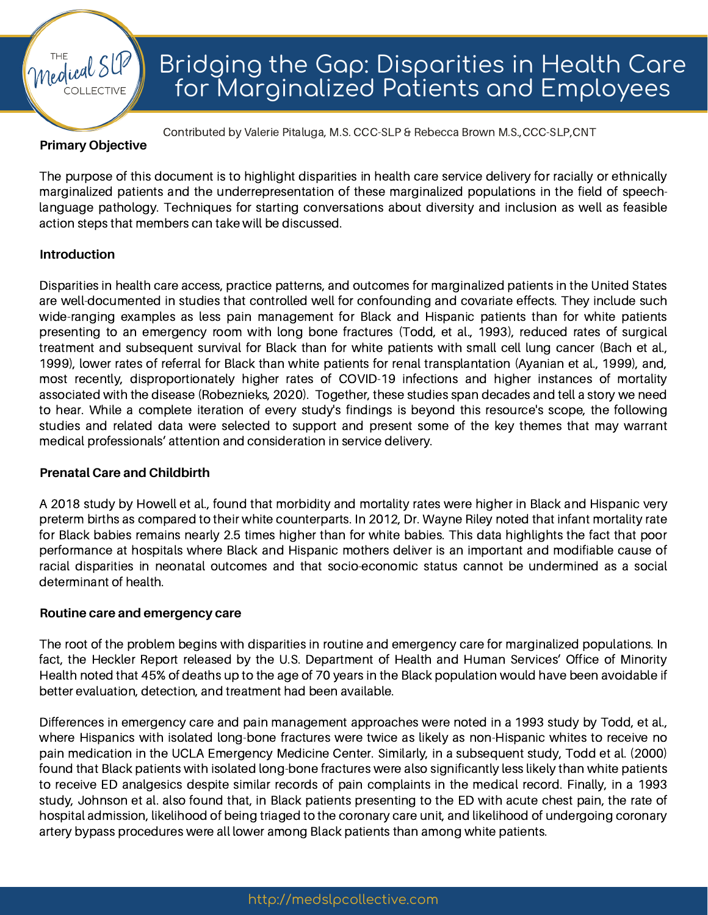#### **Primary Objective**

medical

The purpose of this document is to highlight disparities in health care service delivery for racially or ethnically marginalized patients and the underrepresentation of these marginalized populations in the field of speechlanguage pathology. Techniques for starting conversations about diversity and inclusion as well as feasible action steps that members can take will be discussed.

Contributed by Valerie Pitaluga, M.S. CCC-SLP & Rebecca Brown M.S.,CCC-SLP,CNT

#### **Introduction**

Disparities in health care access, practice patterns, and outcomes for marginalized patients in the United States are well-documented in studies that controlled well for confounding and covariate effects. They include such wide-ranging examples as less pain management for Black and Hispanic patients than for white patients presenting to an emergency room with long bone fractures (Todd, et al., 1993), reduced rates of surgical treatment and subsequent survival for Black than for white patients with small cell lung cancer (Bach et al., 1999), lower rates of referral for Black than white patients for renal transplantation (Ayanian et al., 1999), and, most recently, disproportionately higher rates of COVID-19 infections and higher instances of mortality associated with the disease (Robeznieks, 2020). Together, these studies span decades and tell a story we need to hear. While a complete iteration of every study's findings is beyond this resource's scope, the following studies and related data were selected to support and present some of the key themes that may warrant medical professionals' attention and consideration in service delivery.

#### **Prenatal Care and Childbirth**

A 2018 study by Howell et al., found that morbidity and mortality rates were higher in Black and Hispanic very preterm births as compared to their white counterparts. In 2012, Dr. Wayne Riley noted that infant mortality rate for Black babies remains nearly 2.5 times higher than for white babies. This data highlights the fact that poor performance at hospitals where Black and Hispanic mothers deliver is an important and modifiable cause of racial disparities in neonatal outcomes and that socio-economic status cannot be undermined as a social determinant of health.

#### **Routine care and emergency care**

The root of the problem begins with disparities in routine and emergency care for marginalized populations. In fact, the Heckler Report released by the U.S. Department of Health and Human Services' Office of Minority Health noted that 45% of deaths up to the age of 70 years in the Black population would have been avoidable if better evaluation, detection, and treatment had been available.

Differences in emergency care and pain management approaches were noted in a 1993 study by Todd, et al., where Hispanics with isolated long-bone fractures were twice as likely as non-Hispanic whites to receive no pain medication in the UCLA Emergency Medicine Center. Similarly, in a subsequent study, Todd et al. (2000) found that Black patients with isolated long-bone fractures were also significantly less likely than white patients to receive ED analgesics despite similar records of pain complaints in the medical record. Finally, in a 1993 study, Johnson et al. also found that, in Black patients presenting to the ED with acute chest pain, the rate of hospital admission, likelihood of being triaged to the coronary care unit, and likelihood of undergoing coronary artery bypass procedures were all lower among Black patients than among white patients.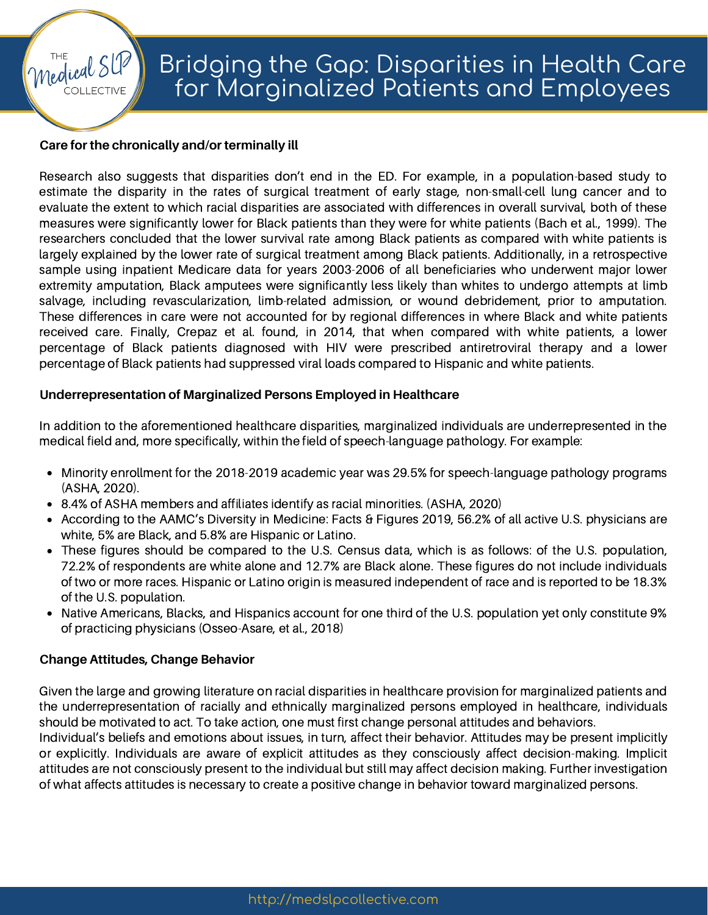### **Care for the chronically and/or terminally ill**

medical

Research also suggests that disparities don't end in the ED. For example, in a population-based study to estimate the disparity in the rates of surgical treatment of early stage, non-small-cell lung cancer and to evaluate the extent to which racial disparities are associated with differences in overall survival, both of these measures were significantly lower for Black patients than they were for white patients (Bach et al., 1999). The researchers concluded that the lower survival rate among Black patients as compared with white patients is largely explained by the lower rate of surgical treatment among Black patients. Additionally, in a retrospective sample using inpatient Medicare data for years 2003-2006 of all beneficiaries who underwent major lower extremity amputation, Black amputees were significantly less likely than whites to undergo attempts at limb salvage, including revascularization, limb-related admission, or wound debridement, prior to amputation. These differences in care were not accounted for by regional differences in where Black and white patients received care. Finally, Crepaz et al. found, in 2014, that when compared with white patients, a lower percentage of Black patients diagnosed with HIV were prescribed antiretroviral therapy and a lower percentage of Black patients had suppressed viral loads compared to Hispanic and white patients.

#### **Underrepresentation of Marginalized Persons Employed in Healthcare**

In addition to the aforementioned healthcare disparities, marginalized individuals are underrepresented in the medical field and, more specifically, within the field of speech-language pathology. For example:

- Minority enrollment for the 2018-2019 academic year was 29.5% for speech-language pathology programs (ASHA, 2020).
- 8.4% of ASHA members and affiliates identify as racial minorities. (ASHA, 2020)
- According to the AAMC's Diversity in Medicine: Facts & Figures 2019, 56.2% of all active U.S. physicians are white, 5% are Black, and 5.8% are Hispanic or Latino.
- These figures should be compared to the U.S. Census data, which is as follows: of the U.S. population, 72.2% of respondents are white alone and 12.7% are Black alone. These figures do not include individuals of two or more races. Hispanic or Latino origin is measured independent of race and is reported to be 18.3% of the U.S. population.
- Native Americans, Blacks, and Hispanics account for one third of the U.S. population yet only constitute 9% of practicing physicians (Osseo-Asare, et al., 2018)

#### **Change Attitudes, Change Behavior**

Given the large and growing literature on racial disparities in healthcare provision for marginalized patients and the underrepresentation of racially and ethnically marginalized persons employed in healthcare, individuals should be motivated to act. To take action, one must first change personal attitudes and behaviors.

Individual's beliefs and emotions about issues, in turn, affect their behavior. Attitudes may be present implicitly or explicitly. Individuals are aware of explicit attitudes as they consciously affect decision-making. Implicit attitudes are not consciously present to the individual but still may affect decision making. Further investigation of what affects attitudes is necessary to create a positive change in behavior toward marginalized persons.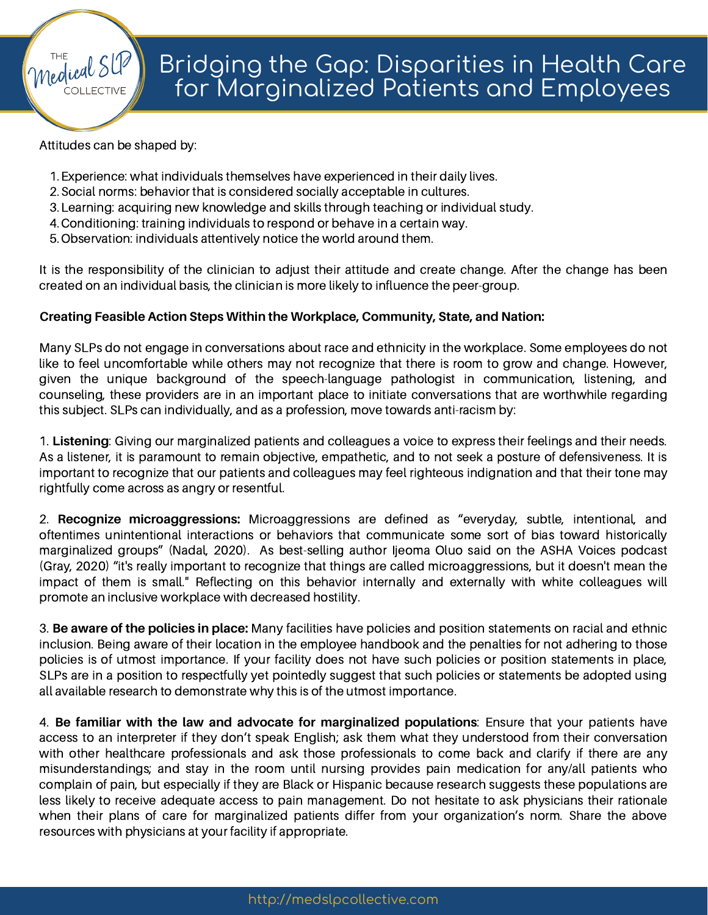Attitudes can be shaped by:

Medical SI

- Experience: what individuals themselves have experienced in their daily lives. 1.
- 2. Social norms: behavior that is considered socially acceptable in cultures.
- 3. Learning: acquiring new knowledge and skills through teaching or individual study.
- Conditioning: training individuals to respond or behave in a certain way. 4.
- 5. Observation: individuals attentively notice the world around them.

It is the responsibility of the clinician to adjust their attitude and create change. After the change has been created on an individual basis, the clinician is more likely to influence the peer-group.

## **Creating Feasible Action Steps Within the Workplace, Community, State, and Nation:**

Many SLPs do not engage in conversations about race and ethnicity in the workplace. Some employees do not like to feel uncomfortable while others may not recognize that there is room to grow and change. However, given the unique background of the speech-language pathologist in communication, listening, and counseling, these providers are in an important place to initiate conversations that are worthwhile regarding this subject. SLPs can individually, and as a profession, move towards anti-racism by:

1. **Listening**: Giving our marginalized patients and colleagues a voice to express their feelings and their needs. As a listener, it is paramount to remain objective, empathetic, and to not seek a posture of defensiveness. It is important to recognize that our patients and colleagues may feel righteous indignation and that their tone may rightfully come across as angry or resentful.

2. **Recognize microaggressions:** Microaggressions are defined as "everyday, subtle, intentional, and oftentimes unintentional interactions or behaviors that communicate some sort of bias toward historically marginalized groups" (Nadal, 2020). As best-selling author Ijeoma Oluo said on the ASHA Voices podcast (Gray, 2020) "it's really important to recognize that things are called microaggressions, but it doesn't mean the impact of them is small." Reflecting on this behavior internally and externally with white colleagues will promote an inclusive workplace with decreased hostility.

3. **Be aware of the policies in place:** Many facilities have policies and position statements on racial and ethnic inclusion. Being aware of their location in the employee handbook and the penalties for not adhering to those policies is of utmost importance. If your facility does not have such policies or position statements in place, SLPs are in a position to respectfully yet pointedly suggest that such policies or statements be adopted using all available research to demonstrate why this is of the utmost importance.

4. **Be familiar with the law and advocate for marginalized populations**: Ensure that your patients have access to an interpreter if they don't speak English; ask them what they understood from their conversation with other healthcare professionals and ask those professionals to come back and clarify if there are any misunderstandings; and stay in the room until nursing provides pain medication for any/all patients who complain of pain, but especially if they are Black or Hispanic because research suggests these populations are less likely to receive adequate access to pain management. Do not hesitate to ask physicians their rationale when their plans of care for marginalized patients differ from your organization's norm. Share the above resources with physicians at your facility if appropriate.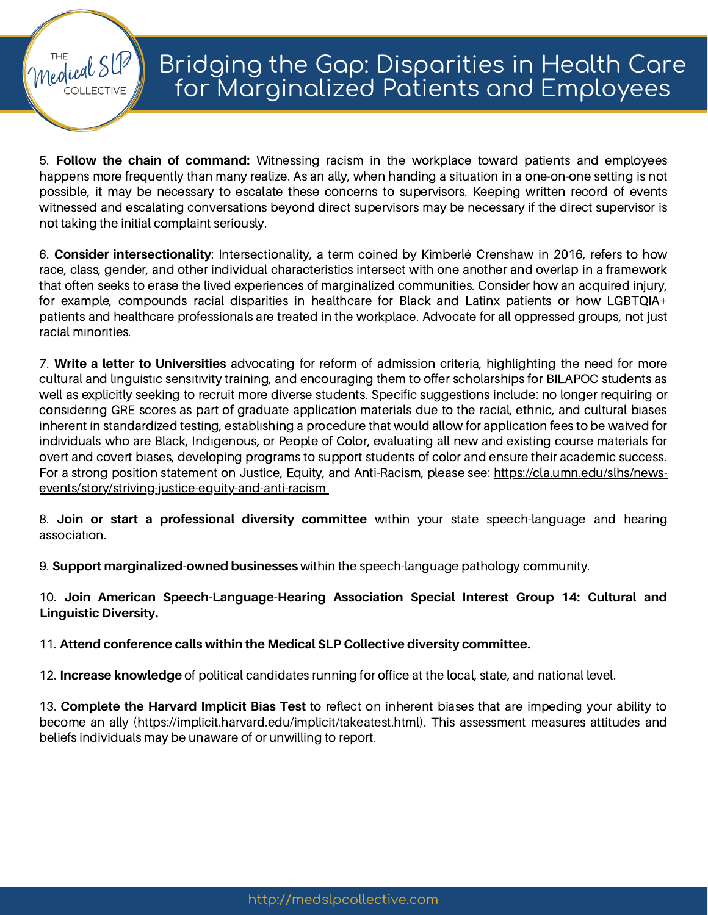5. **Follow the chain of command:** Witnessing racism in the workplace toward patients and employees happens more frequently than many realize. As an ally, when handing a situation in a one-on-one setting is not possible, it may be necessary to escalate these concerns to supervisors. Keeping written record of events witnessed and escalating conversations beyond direct supervisors may be necessary if the direct supervisor is not taking the initial complaint seriously.

medical S

6. **Consider intersectionality**: Intersectionality, a term coined by Kimberlé Crenshaw in 2016, refers to how race, class, gender, and other individual characteristics intersect with one another and overlap in a framework that often seeks to erase the lived experiences of marginalized communities. Consider how an acquired injury, for example, compounds racial disparities in healthcare for Black and Latinx patients or how LGBTQIA+ patients and healthcare professionals are treated in the workplace. Advocate for all oppressed groups, not just racial minorities.

7. **Write a letter to Universities** advocating for reform of admission criteria, highlighting the need for more cultural and linguistic sensitivity training, and encouraging them to offer scholarships for BILAPOC students as well as explicitly seeking to recruit more diverse students. Specific suggestions include: no longer requiring or considering GRE scores as part of graduate application materials due to the racial, ethnic, and cultural biases inherent in standardized testing, establishing a procedure that would allow for application fees to be waived for individuals who are Black, Indigenous, or People of Color, evaluating all new and existing course materials for overt and covert biases, developing programs to support students of color and ensure their academic success. For a strong position statement on Justice, Equity, and Anti-Racism, please see: https://cla.umn.edu/slhs/news[events/story/striving-justice-equity-and-anti-racism](https://cla.umn.edu/slhs/news-events/story/striving-justice-equity-and-anti-racism)

8. **Join or start a professional diversity committee** within your state speech-language and hearing association.

9. **Support marginalized-owned businesses** within the speech-language pathology community.

10. **Join American Speech-Language-Hearing Association Special Interest Group 14: Cultural and Linguistic Diversity.**

11. **Attend conference calls within the Medical SLP Collective diversity committee.**

12. **Increase knowledge** of political candidates running for office at the local, state, and national level.

13. **Complete the Harvard Implicit Bias Test** to reflect on inherent biases that are impeding your ability to become an ally [\(https://implicit.harvard.edu/implicit/takeatest.html](https://implicit.harvard.edu/implicit/takeatest.html)). This assessment measures attitudes and beliefs individuals may be unaware of or unwilling to report.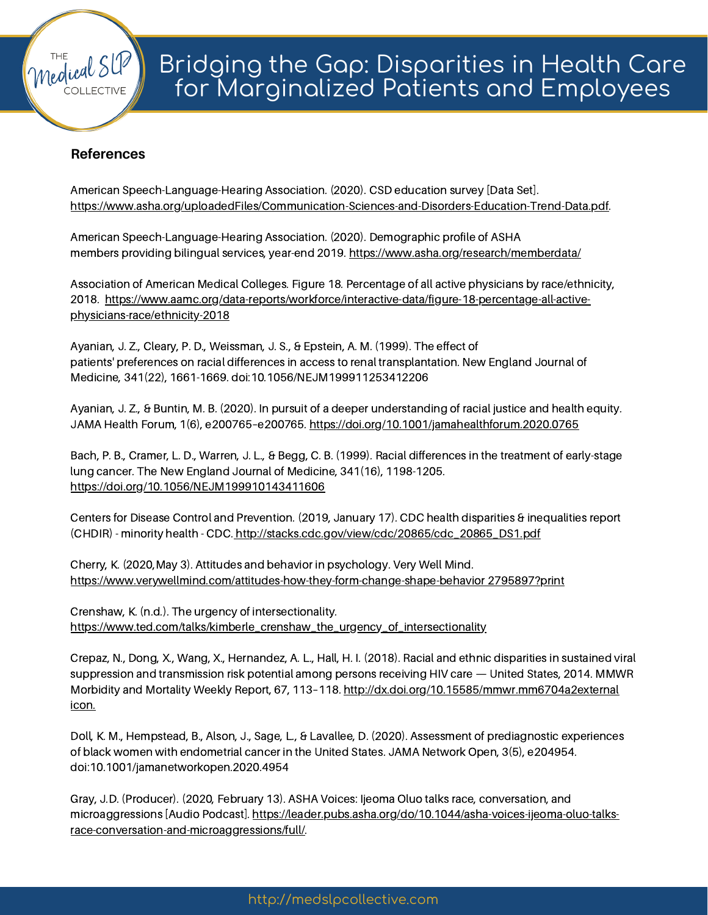## **References**

medical S

American Speech-Language-Hearing Association. (2020). CSD education survey [Data Set]. [https://www.asha.org/uploadedFiles/Communication-Sciences-and-Disorders-Education-Trend-Data.pdf.](https://www.asha.org/uploadedFiles/Communication-Sciences-and-Disorders-Education-Trend-Data.pdf)

American Speech-Language-Hearing Association. (2020). Demographic profile of ASHA members providing bilingual services, year-end 2019. <https://www.asha.org/research/memberdata/>

Association of American Medical Colleges. Figure 18. Percentage of all active physicians by race/ethnicity, 2018. [https://www.aamc.org/data-reports/workforce/interactive-data/figure-18-percentage-all-active](https://www.aamc.org/data-reports/workforce/interactive-data/figure-18-percentage-all-active-physicians-race/ethnicity-2018)physicians-race/ethnicity-2018

Ayanian, J. Z., Cleary, P. D., Weissman, J. S., & Epstein, A. M. (1999). The effect of patients' preferences on racial differences in access to renal transplantation. New England Journal of Medicine, 341(22), 1661-1669. doi:10.1056/NEJM199911253412206

Ayanian, J. Z., & Buntin, M. B. (2020). In pursuit of a deeper understanding of racial justice and health equity. JAMA Health Forum, 1(6), e200765–e200765. <https://doi.org/10.1001/jamahealthforum.2020.0765>

Bach, P. B., Cramer, L. D., Warren, J. L., & Begg, C. B. (1999). Racial differences in the treatment of early-stage lung cancer. The New England Journal of Medicine, 341(16), 1198-1205. <https://doi.org/10.1056/NEJM199910143411606>

Centers for Disease Control and Prevention. (2019, January 17). CDC health disparities & inequalities report (CHDIR) - minority health - CDC. [http://stacks.cdc.gov/view/cdc/20865/cdc\\_20865\\_DS1.pdf](http://stacks.cdc.gov/view/cdc/20865/cdc_20865_DS1.pdf)

Cherry, K. (2020,May 3). Attitudes and behavior in psychology. Very Well Mind. [https://www.verywellmind.com/attitudes-how-they-form-change-shape-behavior](https://www.verywellmind.com/attitudes-how-they-form-change-shape-behavior2795897?print) 2795897?print

Crenshaw, K. (n.d.). The urgency of intersectionality. [https://www.ted.com/talks/kimberle\\_crenshaw\\_the\\_urgency\\_of\\_intersectionality](https://www.ted.com/talks/kimberle_crenshaw_the_urgency_of_intersectionality)

Crepaz, N., Dong, X., Wang, X., Hernandez, A. L., Hall, H. I. (2018). Racial and ethnic disparities in sustained viral suppression and transmission risk potential among persons receiving HIV care — United States, 2014. MMWR Morbidity and Mortality Weekly Report, 67, 113-118. [http://dx.doi.org/10.15585/mmwr.mm6704a2external](http://dx.doi.org/10.15585/mmwr.mm6704a2external%20icon.) icon.

Doll, K. M., Hempstead, B., Alson, J., Sage, L., & Lavallee, D. (2020). Assessment of prediagnostic experiences of black women with endometrial cancer in the United States. JAMA Network Open, 3(5), e204954. doi:10.1001/jamanetworkopen.2020.4954

Gray, J.D. (Producer). (2020, February 13). ASHA Voices: Ijeoma Oluo talks race, conversation, and microaggressions [Audio Podcast]. [https://leader.pubs.asha.org/do/10.1044/asha-voices-ijeoma-oluo-talks](https://leader.pubs.asha.org/do/10.1044/asha-voices-ijeoma-oluo-talks-race-conversation-and-microaggressions/full/)race-conversation-and-microaggressions/full/.